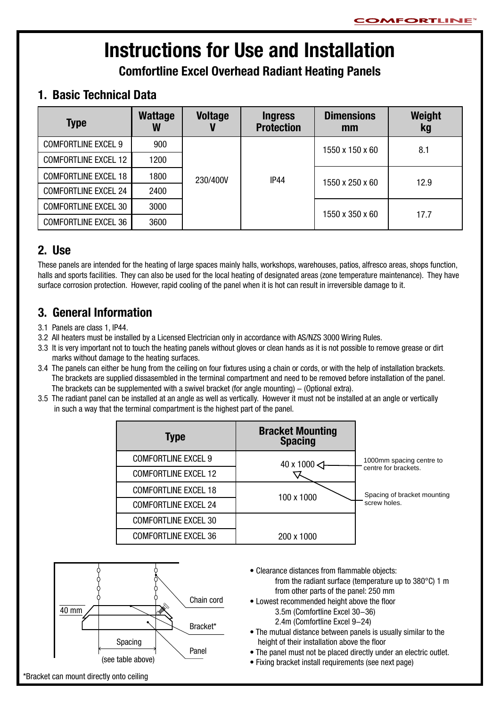# **Instructions for Use and Installation**

**Comfortline Excel Overhead Radiant Heating Panels**

## **1. Basic Technical Data**

| <b>Type</b>                 | <b>Wattage</b> | <b>Voltage</b>   | <b>Ingress</b><br><b>Protection</b> | <b>Dimensions</b><br>mm | Weight<br>kg |
|-----------------------------|----------------|------------------|-------------------------------------|-------------------------|--------------|
| <b>COMFORTLINE EXCEL 9</b>  | 900            |                  |                                     | 1550 x 150 x 60         | 8.1          |
| <b>COMFORTLINE EXCEL 12</b> | 1200           | IP44<br>230/400V |                                     |                         |              |
| <b>COMFORTLINE EXCEL 18</b> | 1800           |                  |                                     | 1550 x 250 x 60         | 12.9         |
| <b>COMFORTLINE EXCEL 24</b> | 2400           |                  |                                     |                         |              |
| <b>COMFORTLINE EXCEL 30</b> | 3000           |                  |                                     | 1550 x 350 x 60         | 17.7         |
| <b>COMFORTLINE EXCEL 36</b> | 3600           |                  |                                     |                         |              |

## **2. Use**

These panels are intended for the heating of large spaces mainly halls, workshops, warehouses, patios, alfresco areas, shops function, halls and sports facilities. They can also be used for the local heating of designated areas (zone temperature maintenance). They have surface corrosion protection. However, rapid cooling of the panel when it is hot can result in irreversible damage to it.

## **3. General Information**

- 3.1 Panels are class 1, IP44.
- 3.2 All heaters must be installed by a Licensed Electrician only in accordance with AS/NZS 3000 Wiring Rules.
- 3.3 It is very important not to touch the heating panels without gloves or clean hands as it is not possible to remove grease or dirt marks without damage to the heating surfaces.
- 3.4 The panels can either be hung from the ceiling on four fixtures using a chain or cords, or with the help of installation brackets. The brackets are supplied dissasembled in the terminal compartment and need to be removed before installation of the panel. The brackets can be supplemented with a swivel bracket (for angle mounting)  $-$  (Optional extra).
- 3.5 The radiant panel can be installed at an angle as well as vertically. However it must not be installed at an angle or vertically in such a way that the terminal compartment is the highest part of the panel.

| <b>Type</b>                 | <b>Bracket Mounting</b><br><b>Spacing</b> |                             |
|-----------------------------|-------------------------------------------|-----------------------------|
| <b>COMFORTLINE EXCEL 9</b>  | 40 x 1000 <                               | 1000mm spacing centre to    |
| <b>COMFORTLINE EXCEL 12</b> |                                           | centre for brackets.        |
| <b>COMFORTLINE EXCEL 18</b> | 100 x 1000                                | Spacing of bracket mounting |
| <b>COMFORTLINE EXCEL 24</b> |                                           | screw holes.                |
| <b>COMFORTLINE EXCEL 30</b> |                                           |                             |
| <b>COMFORTLINE EXCEL 36</b> | 200 x 1000                                |                             |



- Clearance distances from flammable objects: from the radiant surface (temperature up to 380°C) 1 m from other parts of the panel: 250 mm
- Lowest recommended height above the floor 3.5m (Comfortline Excel 30-36) 2.4m (Comfortline Excel 9-24)
- The mutual distance between panels is usually similar to the height of their installation above the floor
- The panel must not be placed directly under an electric outlet.
- Fixing bracket install requirements (see next page)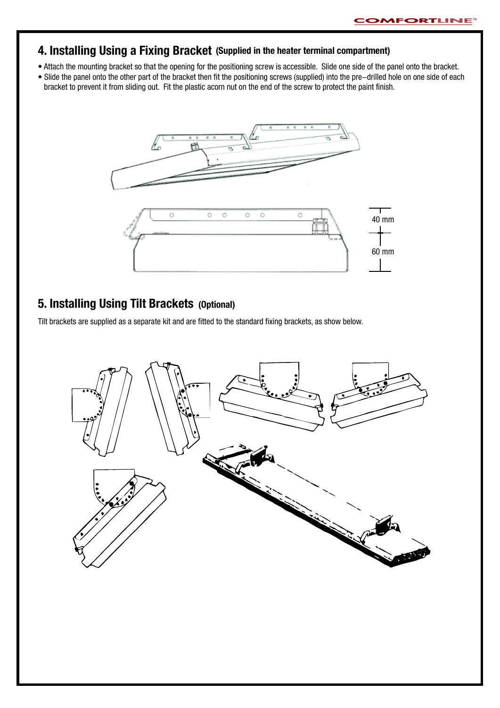#### **4. Installing Using a Fixing Bracket (Supplied in the heater terminal compartment)**

- Attach the mounting bracket so that the opening for the positioning screw is accessible. Slide one side of the panel onto the bracket.
- Slide the panel onto the other part of the bracket then fit the positioning screws (supplied) into the pre-drilled hole on one side of each bracket to prevent it from sliding out. Fit the plastic acorn nut on the end of the screw to protect the paint finish.



## **5. Installing Using Tilt Brackets (Optional)**

Tilt brackets are supplied as a separate kit and are fitted to the standard fixing brackets, as show below.

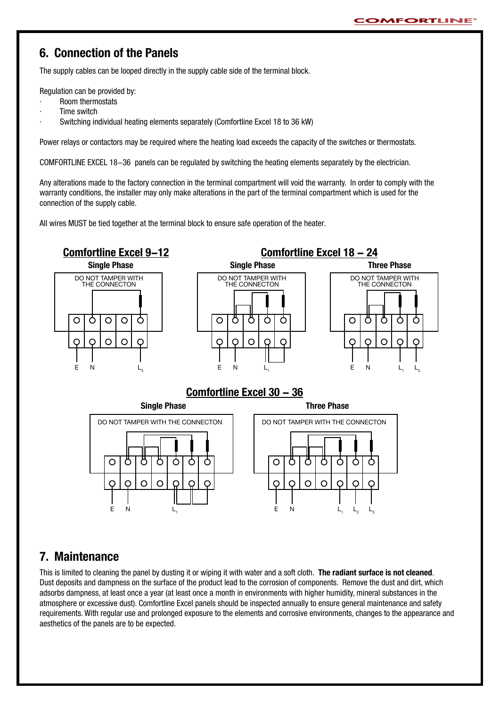#### **6. Connection of the Panels**

The supply cables can be looped directly in the supply cable side of the terminal block.

Regulation can be provided by:

- · Room thermostats
- Time switch
- Switching individual heating elements separately (Comfortline Excel 18 to 36 kW)

Power relays or contactors may be required where the heating load exceeds the capacity of the switches or thermostats.

COMFORTLINE EXCEL 18-36 panels can be regulated by switching the heating elements separately by the electrician.

Any alterations made to the factory connection in the terminal compartment will void the warranty. In order to comply with the warranty conditions, the installer may only make alterations in the part of the terminal compartment which is used for the connection of the supply cable.

All wires MUST be tied together at the terminal block to ensure safe operation of the heater.



#### **Comfortline Excel 30 - 36**



### **7. Maintenance**

This is limited to cleaning the panel by dusting it or wiping it with water and a soft cloth. **The radiant surface is not cleaned**. Dust deposits and dampness on the surface of the product lead to the corrosion of components. Remove the dust and dirt, which adsorbs dampness, at least once a year (at least once a month in environments with higher humidity, mineral substances in the atmosphere or excessive dust). Comfortline Excel panels should be inspected annually to ensure general maintenance and safety requirements. With regular use and prolonged exposure to the elements and corrosive environments, changes to the appearance and aesthetics of the panels are to be expected.